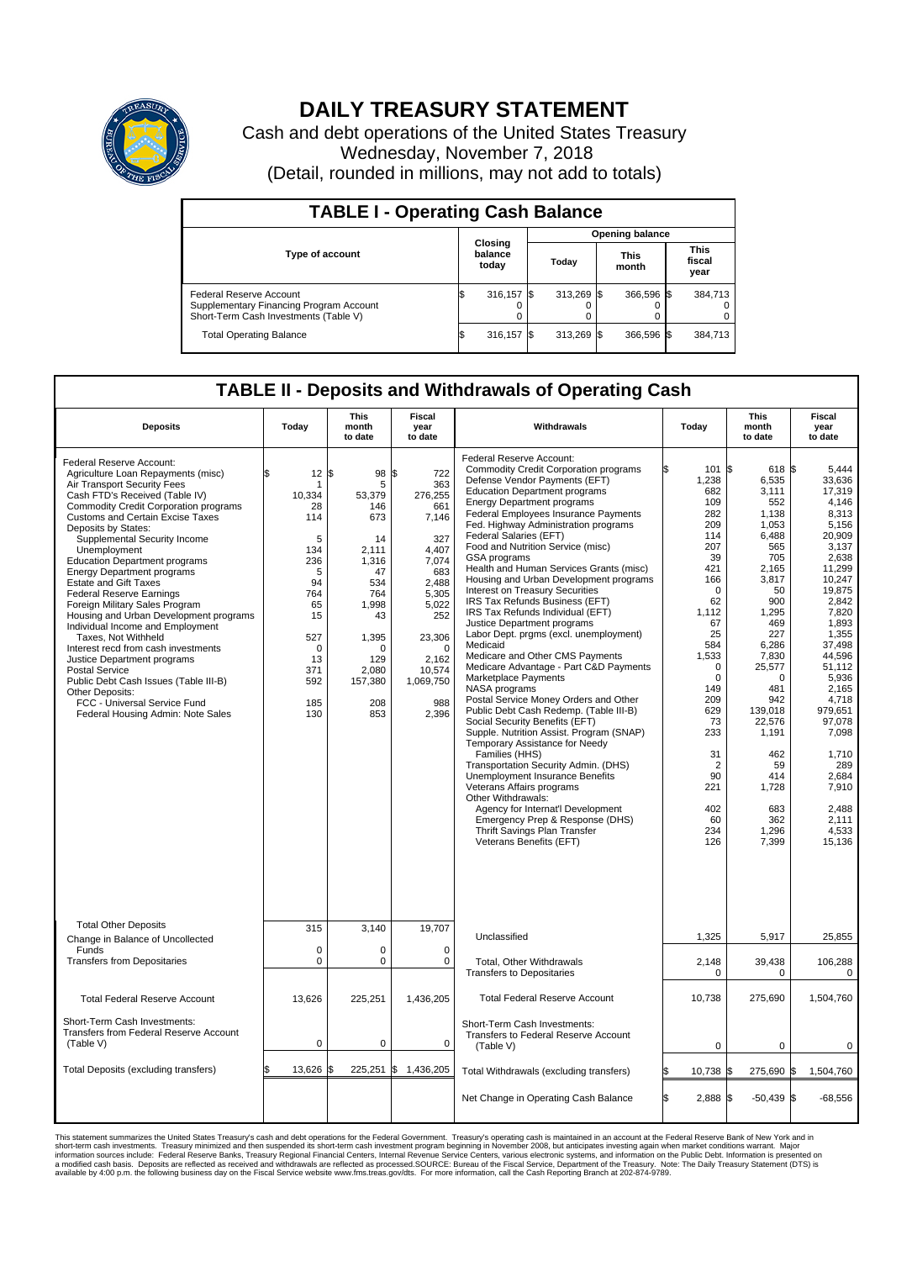

## **DAILY TREASURY STATEMENT**

Cash and debt operations of the United States Treasury Wednesday, November 7, 2018 (Detail, rounded in millions, may not add to totals)

| <b>TABLE I - Operating Cash Balance</b>                                                                     |                             |         |       |                        |                      |            |  |                               |  |  |  |
|-------------------------------------------------------------------------------------------------------------|-----------------------------|---------|-------|------------------------|----------------------|------------|--|-------------------------------|--|--|--|
|                                                                                                             |                             |         |       | <b>Opening balance</b> |                      |            |  |                               |  |  |  |
| Type of account                                                                                             | Closing<br>balance<br>today |         | Today |                        | <b>This</b><br>month |            |  | <b>This</b><br>fiscal<br>year |  |  |  |
| Federal Reserve Account<br>Supplementary Financing Program Account<br>Short-Term Cash Investments (Table V) |                             | 316,157 |       | 313.269 \$             |                      | 366,596 \$ |  | 384,713                       |  |  |  |
| <b>Total Operating Balance</b>                                                                              | I\$                         | 316,157 |       | 313,269                | - IS                 | 366,596 \$ |  | 384,713                       |  |  |  |

## **TABLE II - Deposits and Withdrawals of Operating Cash**

| <b>Deposits</b>                                                                                                                                                                                                                                                                                                                                                                                                                                                                                                                                                                                                                                                                                                                                                                                                   | Today                                                                                                                                                    | <b>This</b><br>month<br>to date                                                                                                                   | <b>Fiscal</b><br>year<br>to date                                                                                                                                                        | Withdrawals                                                                                                                                                                                                                                                                                                                                                                                                                                                                                                                                                                                                                                                                                                                                                                                                                                                                                                                                                                                                                                                                                                                                                                                                                                                        | Today                                                                                                                                                                                                                                                       | <b>This</b><br>month<br>to date                                                                                                                                                                                                                                                           | <b>Fiscal</b><br>year<br>to date                                                                                                                                                                                                                                                                                 |  |  |
|-------------------------------------------------------------------------------------------------------------------------------------------------------------------------------------------------------------------------------------------------------------------------------------------------------------------------------------------------------------------------------------------------------------------------------------------------------------------------------------------------------------------------------------------------------------------------------------------------------------------------------------------------------------------------------------------------------------------------------------------------------------------------------------------------------------------|----------------------------------------------------------------------------------------------------------------------------------------------------------|---------------------------------------------------------------------------------------------------------------------------------------------------|-----------------------------------------------------------------------------------------------------------------------------------------------------------------------------------------|--------------------------------------------------------------------------------------------------------------------------------------------------------------------------------------------------------------------------------------------------------------------------------------------------------------------------------------------------------------------------------------------------------------------------------------------------------------------------------------------------------------------------------------------------------------------------------------------------------------------------------------------------------------------------------------------------------------------------------------------------------------------------------------------------------------------------------------------------------------------------------------------------------------------------------------------------------------------------------------------------------------------------------------------------------------------------------------------------------------------------------------------------------------------------------------------------------------------------------------------------------------------|-------------------------------------------------------------------------------------------------------------------------------------------------------------------------------------------------------------------------------------------------------------|-------------------------------------------------------------------------------------------------------------------------------------------------------------------------------------------------------------------------------------------------------------------------------------------|------------------------------------------------------------------------------------------------------------------------------------------------------------------------------------------------------------------------------------------------------------------------------------------------------------------|--|--|
| Federal Reserve Account:<br>Agriculture Loan Repayments (misc)<br>Air Transport Security Fees<br>Cash FTD's Received (Table IV)<br><b>Commodity Credit Corporation programs</b><br>Customs and Certain Excise Taxes<br>Deposits by States:<br>Supplemental Security Income<br>Unemployment<br><b>Education Department programs</b><br><b>Energy Department programs</b><br><b>Estate and Gift Taxes</b><br><b>Federal Reserve Earnings</b><br>Foreign Military Sales Program<br>Housing and Urban Development programs<br>Individual Income and Employment<br>Taxes. Not Withheld<br>Interest recd from cash investments<br>Justice Department programs<br><b>Postal Service</b><br>Public Debt Cash Issues (Table III-B)<br>Other Deposits:<br>FCC - Universal Service Fund<br>Federal Housing Admin: Note Sales | \$<br>$12 \,$ $\uparrow$<br>10.334<br>28<br>114<br>5<br>134<br>236<br>5<br>94<br>764<br>65<br>15<br>527<br>$\mathbf 0$<br>13<br>371<br>592<br>185<br>130 | 98<br>5<br>53.379<br>146<br>673<br>14<br>2.111<br>1,316<br>47<br>534<br>764<br>1,998<br>43<br>1,395<br>O<br>129<br>2.080<br>157,380<br>208<br>853 | l\$<br>722<br>363<br>276,255<br>661<br>7,146<br>327<br>4.407<br>7,074<br>683<br>2,488<br>5,305<br>5,022<br>252<br>23,306<br>$\mathbf 0$<br>2,162<br>10,574<br>1,069,750<br>988<br>2,396 | Federal Reserve Account:<br><b>Commodity Credit Corporation programs</b><br>Defense Vendor Payments (EFT)<br><b>Education Department programs</b><br><b>Energy Department programs</b><br><b>Federal Employees Insurance Payments</b><br>Fed. Highway Administration programs<br>Federal Salaries (EFT)<br>Food and Nutrition Service (misc)<br><b>GSA</b> programs<br>Health and Human Services Grants (misc)<br>Housing and Urban Development programs<br>Interest on Treasury Securities<br>IRS Tax Refunds Business (EFT)<br>IRS Tax Refunds Individual (EFT)<br>Justice Department programs<br>Labor Dept. prgms (excl. unemployment)<br>Medicaid<br>Medicare and Other CMS Payments<br>Medicare Advantage - Part C&D Payments<br>Marketplace Payments<br>NASA programs<br>Postal Service Money Orders and Other<br>Public Debt Cash Redemp. (Table III-B)<br>Social Security Benefits (EFT)<br>Supple. Nutrition Assist. Program (SNAP)<br>Temporary Assistance for Needy<br>Families (HHS)<br>Transportation Security Admin. (DHS)<br>Unemployment Insurance Benefits<br>Veterans Affairs programs<br>Other Withdrawals:<br>Agency for Internat'l Development<br>Emergency Prep & Response (DHS)<br>Thrift Savings Plan Transfer<br>Veterans Benefits (EFT) | ß.<br>101S<br>1,238<br>682<br>109<br>282<br>209<br>114<br>207<br>39<br>421<br>166<br>$\mathbf 0$<br>62<br>1,112<br>67<br>25<br>584<br>1,533<br>$\mathbf 0$<br>$\Omega$<br>149<br>209<br>629<br>73<br>233<br>31<br>2<br>90<br>221<br>402<br>60<br>234<br>126 | $618$ $\sqrt{5}$<br>6,535<br>3,111<br>552<br>1,138<br>1,053<br>6.488<br>565<br>705<br>2,165<br>3,817<br>50<br>900<br>1,295<br>469<br>227<br>6,286<br>7,830<br>25,577<br>$\Omega$<br>481<br>942<br>139,018<br>22.576<br>1,191<br>462<br>59<br>414<br>1,728<br>683<br>362<br>1,296<br>7,399 | 5.444<br>33,636<br>17,319<br>4.146<br>8,313<br>5,156<br>20.909<br>3,137<br>2.638<br>11.299<br>10,247<br>19,875<br>2.842<br>7,820<br>1,893<br>1,355<br>37.498<br>44,596<br>51,112<br>5,936<br>2,165<br>4,718<br>979.651<br>97.078<br>7,098<br>1.710<br>289<br>2.684<br>7,910<br>2,488<br>2.111<br>4,533<br>15,136 |  |  |
| <b>Total Other Deposits</b><br>Change in Balance of Uncollected                                                                                                                                                                                                                                                                                                                                                                                                                                                                                                                                                                                                                                                                                                                                                   | 315                                                                                                                                                      | 3,140                                                                                                                                             | 19,707                                                                                                                                                                                  | Unclassified                                                                                                                                                                                                                                                                                                                                                                                                                                                                                                                                                                                                                                                                                                                                                                                                                                                                                                                                                                                                                                                                                                                                                                                                                                                       | 1,325                                                                                                                                                                                                                                                       | 5,917                                                                                                                                                                                                                                                                                     | 25,855                                                                                                                                                                                                                                                                                                           |  |  |
| Funds<br><b>Transfers from Depositaries</b>                                                                                                                                                                                                                                                                                                                                                                                                                                                                                                                                                                                                                                                                                                                                                                       | $\mathbf 0$<br>$\pmb{0}$                                                                                                                                 | 0<br>0                                                                                                                                            | 0<br>$\mathbf 0$                                                                                                                                                                        | Total, Other Withdrawals                                                                                                                                                                                                                                                                                                                                                                                                                                                                                                                                                                                                                                                                                                                                                                                                                                                                                                                                                                                                                                                                                                                                                                                                                                           | 2,148                                                                                                                                                                                                                                                       | 39,438                                                                                                                                                                                                                                                                                    | 106,288                                                                                                                                                                                                                                                                                                          |  |  |
|                                                                                                                                                                                                                                                                                                                                                                                                                                                                                                                                                                                                                                                                                                                                                                                                                   |                                                                                                                                                          |                                                                                                                                                   |                                                                                                                                                                                         | <b>Transfers to Depositaries</b>                                                                                                                                                                                                                                                                                                                                                                                                                                                                                                                                                                                                                                                                                                                                                                                                                                                                                                                                                                                                                                                                                                                                                                                                                                   | $\mathbf 0$                                                                                                                                                                                                                                                 | 0                                                                                                                                                                                                                                                                                         | 0                                                                                                                                                                                                                                                                                                                |  |  |
| <b>Total Federal Reserve Account</b>                                                                                                                                                                                                                                                                                                                                                                                                                                                                                                                                                                                                                                                                                                                                                                              | 13,626                                                                                                                                                   | 225,251                                                                                                                                           | 1,436,205                                                                                                                                                                               | <b>Total Federal Reserve Account</b>                                                                                                                                                                                                                                                                                                                                                                                                                                                                                                                                                                                                                                                                                                                                                                                                                                                                                                                                                                                                                                                                                                                                                                                                                               | 10,738                                                                                                                                                                                                                                                      | 275,690                                                                                                                                                                                                                                                                                   | 1,504,760                                                                                                                                                                                                                                                                                                        |  |  |
| Short-Term Cash Investments:<br>Transfers from Federal Reserve Account<br>(Table V)                                                                                                                                                                                                                                                                                                                                                                                                                                                                                                                                                                                                                                                                                                                               | $\mathbf 0$                                                                                                                                              | 0                                                                                                                                                 | 0                                                                                                                                                                                       | Short-Term Cash Investments:<br>Transfers to Federal Reserve Account<br>(Table V)                                                                                                                                                                                                                                                                                                                                                                                                                                                                                                                                                                                                                                                                                                                                                                                                                                                                                                                                                                                                                                                                                                                                                                                  | $\mathbf 0$                                                                                                                                                                                                                                                 | $\mathbf 0$                                                                                                                                                                                                                                                                               | 0                                                                                                                                                                                                                                                                                                                |  |  |
| Total Deposits (excluding transfers)                                                                                                                                                                                                                                                                                                                                                                                                                                                                                                                                                                                                                                                                                                                                                                              | 13,626<br>\$                                                                                                                                             | 225,251<br>\$                                                                                                                                     | \$<br>1,436,205                                                                                                                                                                         | Total Withdrawals (excluding transfers)                                                                                                                                                                                                                                                                                                                                                                                                                                                                                                                                                                                                                                                                                                                                                                                                                                                                                                                                                                                                                                                                                                                                                                                                                            | 10,738 \$                                                                                                                                                                                                                                                   | 275,690 \$                                                                                                                                                                                                                                                                                | 1,504,760                                                                                                                                                                                                                                                                                                        |  |  |
|                                                                                                                                                                                                                                                                                                                                                                                                                                                                                                                                                                                                                                                                                                                                                                                                                   |                                                                                                                                                          |                                                                                                                                                   |                                                                                                                                                                                         | Net Change in Operating Cash Balance                                                                                                                                                                                                                                                                                                                                                                                                                                                                                                                                                                                                                                                                                                                                                                                                                                                                                                                                                                                                                                                                                                                                                                                                                               | \$.<br>2,888 \$                                                                                                                                                                                                                                             | $-50,439$ \$                                                                                                                                                                                                                                                                              | $-68,556$                                                                                                                                                                                                                                                                                                        |  |  |

This statement summarizes the United States Treasury's cash and debt operations for the Federal Government. Treasury soperating in November 2008, but anticiarde in a cocount at the Federal Reserve Bank of New York and in<br>s